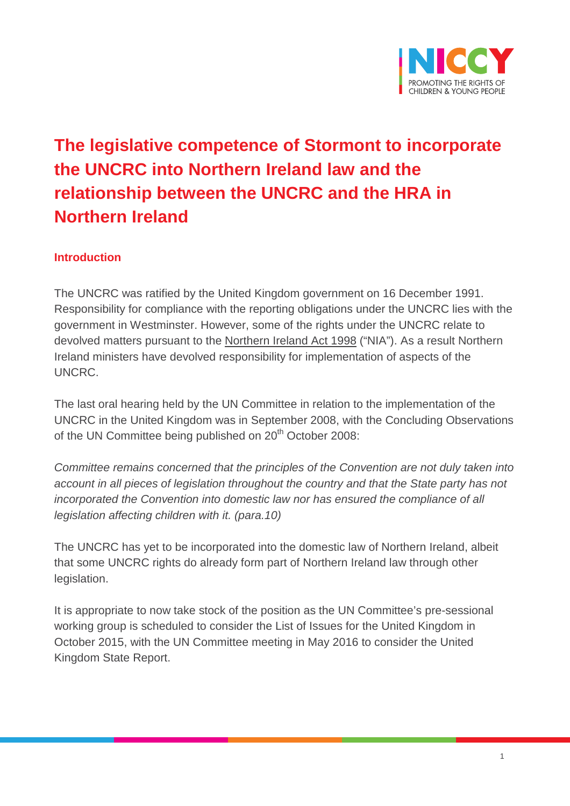

# **The legislative competence of Stormont to incorporate the UNCRC into Northern Ireland law and the relationship between the UNCRC and the HRA in Northern Ireland**

#### **Introduction**

The UNCRC was ratified by the United Kingdom government on 16 December 1991. Responsibility for compliance with the reporting obligations under the UNCRC lies with the government in Westminster. However, some of the rights under the UNCRC relate to devolved matters pursuant to the Northern Ireland Act 1998 ("NIA"). As a result Northern Ireland ministers have devolved responsibility for implementation of aspects of the UNCRC.

The last oral hearing held by the UN Committee in relation to the implementation of the UNCRC in the United Kingdom was in September 2008, with the Concluding Observations of the UN Committee being published on 20<sup>th</sup> October 2008:

*Committee remains concerned that the principles of the Convention are not duly taken into account in all pieces of legislation throughout the country and that the State party has not incorporated the Convention into domestic law nor has ensured the compliance of all legislation affecting children with it. (para.10)*

The UNCRC has yet to be incorporated into the domestic law of Northern Ireland, albeit that some UNCRC rights do already form part of Northern Ireland law through other legislation.

It is appropriate to now take stock of the position as the UN Committee's pre-sessional working group is scheduled to consider the List of Issues for the United Kingdom in October 2015, with the UN Committee meeting in May 2016 to consider the United Kingdom State Report.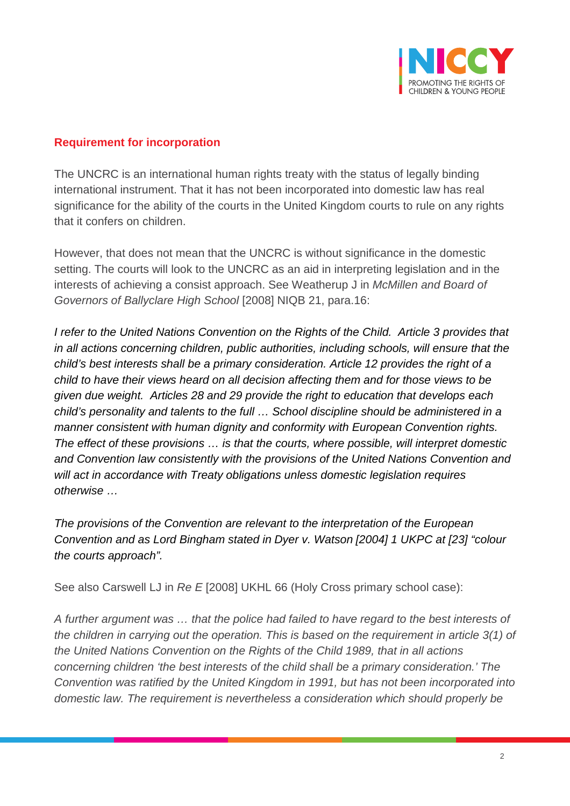

#### **Requirement for incorporation**

The UNCRC is an international human rights treaty with the status of legally binding international instrument. That it has not been incorporated into domestic law has real significance for the ability of the courts in the United Kingdom courts to rule on any rights that it confers on children.

However, that does not mean that the UNCRC is without significance in the domestic setting. The courts will look to the UNCRC as an aid in interpreting legislation and in the interests of achieving a consist approach. See Weatherup J in *McMillen and Board of Governors of Ballyclare High School* [2008] NIQB 21, para.16:

*I refer to the United Nations Convention on the Rights of the Child. Article 3 provides that in all actions concerning children, public authorities, including schools, will ensure that the child's best interests shall be a primary consideration. Article 12 provides the right of a child to have their views heard on all decision affecting them and for those views to be given due weight. Articles 28 and 29 provide the right to education that develops each child's personality and talents to the full … School discipline should be administered in a manner consistent with human dignity and conformity with European Convention rights. The effect of these provisions … is that the courts, where possible, will interpret domestic and Convention law consistently with the provisions of the United Nations Convention and will act in accordance with Treaty obligations unless domestic legislation requires otherwise …*

*The provisions of the Convention are relevant to the interpretation of the European Convention and as Lord Bingham stated in Dyer v. Watson [2004] 1 UKPC at [23] "colour the courts approach".*

See also Carswell LJ in *Re E* [2008] UKHL 66 (Holy Cross primary school case):

*A further argument was … that the police had failed to have regard to the best interests of the children in carrying out the operation. This is based on the requirement in article 3(1) of the United Nations Convention on the Rights of the Child 1989, that in all actions concerning children 'the best interests of the child shall be a primary consideration.' The Convention was ratified by the United Kingdom in 1991, but has not been incorporated into domestic law. The requirement is nevertheless a consideration which should properly be*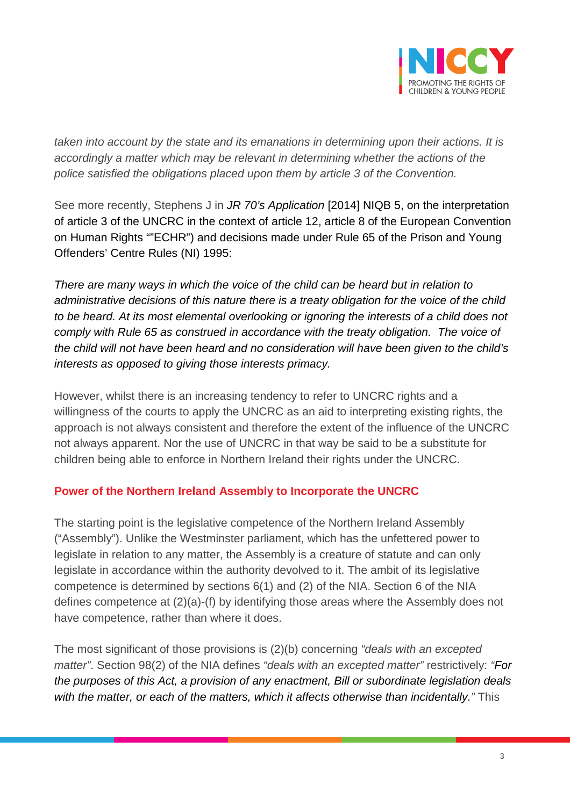

*taken into account by the state and its emanations in determining upon their actions. It is accordingly a matter which may be relevant in determining whether the actions of the police satisfied the obligations placed upon them by article 3 of the Convention.*

See more recently, Stephens J in *JR 70's Application* [2014] NIQB 5, on the interpretation of article 3 of the UNCRC in the context of article 12, article 8 of the European Convention on Human Rights ""ECHR") and decisions made under Rule 65 of the Prison and Young Offenders' Centre Rules (NI) 1995:

*There are many ways in which the voice of the child can be heard but in relation to administrative decisions of this nature there is a treaty obligation for the voice of the child to be heard. At its most elemental overlooking or ignoring the interests of a child does not comply with Rule 65 as construed in accordance with the treaty obligation. The voice of the child will not have been heard and no consideration will have been given to the child's interests as opposed to giving those interests primacy.*

However, whilst there is an increasing tendency to refer to UNCRC rights and a willingness of the courts to apply the UNCRC as an aid to interpreting existing rights, the approach is not always consistent and therefore the extent of the influence of the UNCRC not always apparent. Nor the use of UNCRC in that way be said to be a substitute for children being able to enforce in Northern Ireland their rights under the UNCRC.

#### **Power of the Northern Ireland Assembly to Incorporate the UNCRC**

The starting point is the legislative competence of the Northern Ireland Assembly ("Assembly"). Unlike the Westminster parliament, which has the unfettered power to legislate in relation to any matter, the Assembly is a creature of statute and can only legislate in accordance within the authority devolved to it. The ambit of its legislative competence is determined by sections 6(1) and (2) of the NIA. Section 6 of the NIA defines competence at (2)(a)-(f) by identifying those areas where the Assembly does not have competence, rather than where it does.

The most significant of those provisions is (2)(b) concerning *"deals with an excepted matter"*. Section 98(2) of the NIA defines *"deals with an excepted matter"* restrictively: *"For the purposes of this Act, a provision of any enactment, Bill or subordinate legislation deals with the matter, or each of the matters, which it affects otherwise than incidentally."* This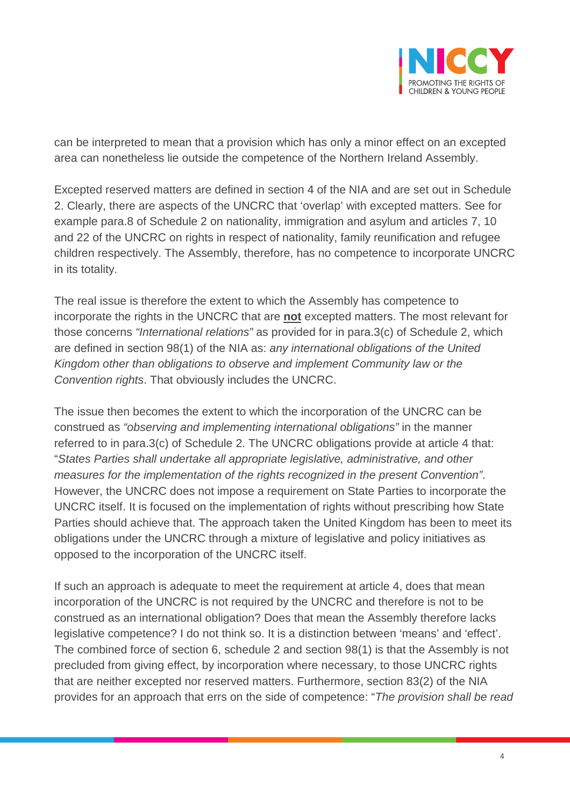

can be interpreted to mean that a provision which has only a minor effect on an excepted area can nonetheless lie outside the competence of the Northern Ireland Assembly.

Excepted reserved matters are defined in section 4 of the NIA and are set out in Schedule 2. Clearly, there are aspects of the UNCRC that 'overlap' with excepted matters. See for example para.8 of Schedule 2 on nationality, immigration and asylum and articles 7, 10 and 22 of the UNCRC on rights in respect of nationality, family reunification and refugee children respectively. The Assembly, therefore, has no competence to incorporate UNCRC in its totality.

The real issue is therefore the extent to which the Assembly has competence to incorporate the rights in the UNCRC that are **not** excepted matters. The most relevant for those concerns *"International relations"* as provided for in para.3(c) of Schedule 2, which are defined in section 98(1) of the NIA as: *any international obligations of the United Kingdom other than obligations to observe and implement Community law or the Convention rights*. That obviously includes the UNCRC.

The issue then becomes the extent to which the incorporation of the UNCRC can be construed as *"observing and implementing international obligations"* in the manner referred to in para.3(c) of Schedule 2. The UNCRC obligations provide at article 4 that: "*States Parties shall undertake all appropriate legislative, administrative, and other measures for the implementation of the rights recognized in the present Convention"*. However, the UNCRC does not impose a requirement on State Parties to incorporate the UNCRC itself. It is focused on the implementation of rights without prescribing how State Parties should achieve that. The approach taken the United Kingdom has been to meet its obligations under the UNCRC through a mixture of legislative and policy initiatives as opposed to the incorporation of the UNCRC itself.

If such an approach is adequate to meet the requirement at article 4, does that mean incorporation of the UNCRC is not required by the UNCRC and therefore is not to be construed as an international obligation? Does that mean the Assembly therefore lacks legislative competence? I do not think so. It is a distinction between 'means' and 'effect'. The combined force of section 6, schedule 2 and section 98(1) is that the Assembly is not precluded from giving effect, by incorporation where necessary, to those UNCRC rights that are neither excepted nor reserved matters. Furthermore, section 83(2) of the NIA provides for an approach that errs on the side of competence: "*The provision shall be read*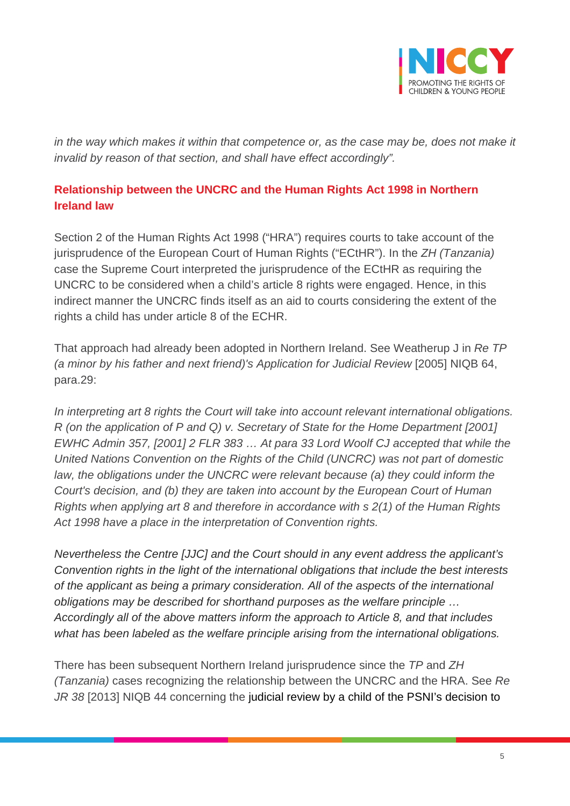

in the way which makes it within that competence or, as the case may be, does not make it *invalid by reason of that section, and shall have effect accordingly".*

## **Relationship between the UNCRC and the Human Rights Act 1998 in Northern Ireland law**

Section 2 of the Human Rights Act 1998 ("HRA") requires courts to take account of the jurisprudence of the European Court of Human Rights ("ECtHR"). In the *ZH (Tanzania)* case the Supreme Court interpreted the jurisprudence of the ECtHR as requiring the UNCRC to be considered when a child's article 8 rights were engaged. Hence, in this indirect manner the UNCRC finds itself as an aid to courts considering the extent of the rights a child has under article 8 of the ECHR.

That approach had already been adopted in Northern Ireland. See Weatherup J in *Re TP (a minor by his father and next friend)'s Application for Judicial Review* [2005] NIQB 64, para.29:

*In interpreting art 8 rights the Court will take into account relevant international obligations. R (on the application of P and Q) v. Secretary of State for the Home Department [2001] EWHC Admin 357, [2001] 2 FLR 383 … At para 33 Lord Woolf CJ accepted that while the United Nations Convention on the Rights of the Child (UNCRC) was not part of domestic law, the obligations under the UNCRC were relevant because (a) they could inform the Court's decision, and (b) they are taken into account by the European Court of Human Rights when applying art 8 and therefore in accordance with s 2(1) of the Human Rights Act 1998 have a place in the interpretation of Convention rights.*

*Nevertheless the Centre [JJC] and the Court should in any event address the applicant's Convention rights in the light of the international obligations that include the best interests of the applicant as being a primary consideration. All of the aspects of the international obligations may be described for shorthand purposes as the welfare principle … Accordingly all of the above matters inform the approach to Article 8, and that includes what has been labeled as the welfare principle arising from the international obligations.*

There has been subsequent Northern Ireland jurisprudence since the *TP* and *ZH (Tanzania)* cases recognizing the relationship between the UNCRC and the HRA. See *Re JR 38* [2013] NIQB 44 concerning the judicial review by a child of the PSNI's decision to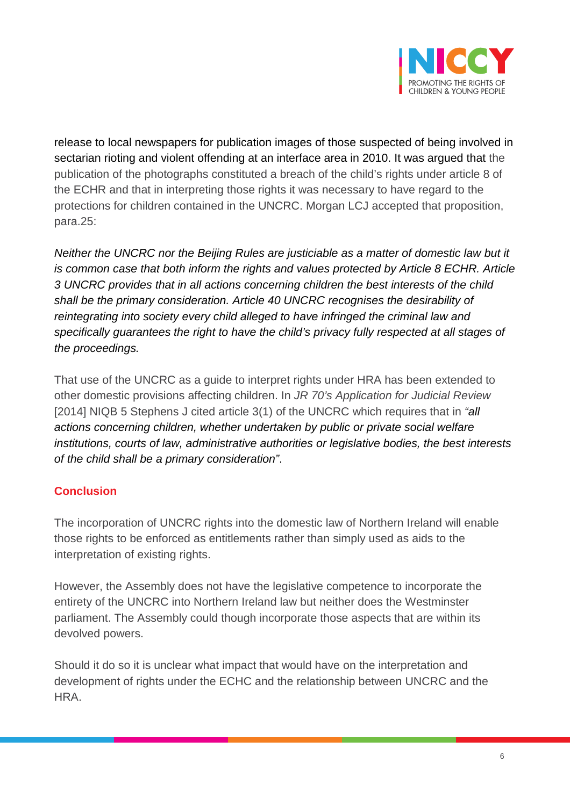

release to local newspapers for publication images of those suspected of being involved in sectarian rioting and violent offending at an interface area in 2010. It was argued that the publication of the photographs constituted a breach of the child's rights under article 8 of the ECHR and that in interpreting those rights it was necessary to have regard to the protections for children contained in the UNCRC. Morgan LCJ accepted that proposition, para.25:

*Neither the UNCRC nor the Beijing Rules are justiciable as a matter of domestic law but it is common case that both inform the rights and values protected by Article 8 ECHR. Article 3 UNCRC provides that in all actions concerning children the best interests of the child shall be the primary consideration. Article 40 UNCRC recognises the desirability of reintegrating into society every child alleged to have infringed the criminal law and specifically guarantees the right to have the child's privacy fully respected at all stages of the proceedings.*

That use of the UNCRC as a guide to interpret rights under HRA has been extended to other domestic provisions affecting children. In *JR 70's Application for Judicial Review* [2014] NIQB 5 Stephens J cited article 3(1) of the UNCRC which requires that in *"all actions concerning children, whether undertaken by public or private social welfare institutions, courts of law, administrative authorities or legislative bodies, the best interests of the child shall be a primary consideration"*.

### **Conclusion**

The incorporation of UNCRC rights into the domestic law of Northern Ireland will enable those rights to be enforced as entitlements rather than simply used as aids to the interpretation of existing rights.

However, the Assembly does not have the legislative competence to incorporate the entirety of the UNCRC into Northern Ireland law but neither does the Westminster parliament. The Assembly could though incorporate those aspects that are within its devolved powers.

Should it do so it is unclear what impact that would have on the interpretation and development of rights under the ECHC and the relationship between UNCRC and the HRA.